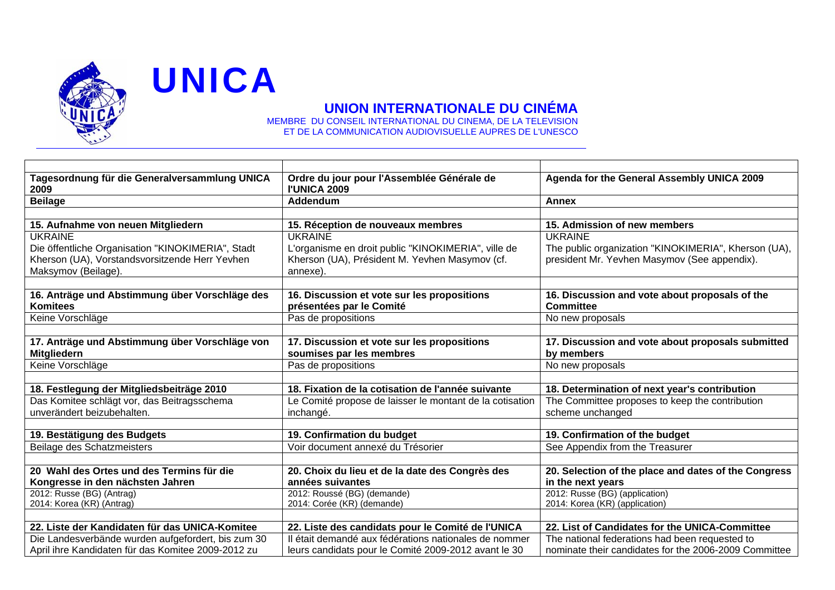

**UNICA** 

## **UNION INTERNATIONALE DU CINÉMA**

MEMBRE DU CONSEIL INTERNATIONAL DU CINEMA, DE LA TELEVISION ET DE LA COMMUNICATION AUDIOVISUELLE AUPRES DE L'UNESCO

| Tagesordnung für die Generalversammlung UNICA<br>2009                                                                      | Ordre du jour pour l'Assemblée Générale de<br><b>I'UNICA 2009</b>                                                 | Agenda for the General Assembly UNICA 2009                                                           |
|----------------------------------------------------------------------------------------------------------------------------|-------------------------------------------------------------------------------------------------------------------|------------------------------------------------------------------------------------------------------|
| <b>Beilage</b>                                                                                                             | Addendum                                                                                                          | <b>Annex</b>                                                                                         |
|                                                                                                                            |                                                                                                                   |                                                                                                      |
| 15. Aufnahme von neuen Mitgliedern                                                                                         | 15. Réception de nouveaux membres                                                                                 | 15. Admission of new members                                                                         |
| <b>UKRAINE</b>                                                                                                             | <b>UKRAINE</b>                                                                                                    | <b>UKRAINE</b>                                                                                       |
| Die öffentliche Organisation "KINOKIMERIA", Stadt<br>Kherson (UA), Vorstandsvorsitzende Herr Yevhen<br>Maksymov (Beilage). | L'organisme en droit public "KINOKIMERIA", ville de<br>Kherson (UA), Président M. Yevhen Masymov (cf.<br>annexe). | The public organization "KINOKIMERIA", Kherson (UA),<br>president Mr. Yevhen Masymov (See appendix). |
|                                                                                                                            |                                                                                                                   |                                                                                                      |
| 16. Anträge und Abstimmung über Vorschläge des<br><b>Komitees</b>                                                          | 16. Discussion et vote sur les propositions<br>présentées par le Comité                                           | 16. Discussion and vote about proposals of the<br><b>Committee</b>                                   |
| Keine Vorschläge                                                                                                           | Pas de propositions                                                                                               | No new proposals                                                                                     |
|                                                                                                                            |                                                                                                                   |                                                                                                      |
| 17. Anträge und Abstimmung über Vorschläge von<br><b>Mitgliedern</b>                                                       | 17. Discussion et vote sur les propositions<br>soumises par les membres                                           | 17. Discussion and vote about proposals submitted<br>by members                                      |
| Keine Vorschläge                                                                                                           | Pas de propositions                                                                                               | No new proposals                                                                                     |
|                                                                                                                            |                                                                                                                   |                                                                                                      |
| 18. Festlegung der Mitgliedsbeiträge 2010                                                                                  | 18. Fixation de la cotisation de l'année suivante                                                                 | 18. Determination of next year's contribution                                                        |
| Das Komitee schlägt vor, das Beitragsschema<br>unverändert beizubehalten.                                                  | Le Comité propose de laisser le montant de la cotisation                                                          | The Committee proposes to keep the contribution                                                      |
|                                                                                                                            | inchangé.                                                                                                         | scheme unchanged                                                                                     |
| 19. Bestätigung des Budgets                                                                                                | 19. Confirmation du budget                                                                                        | 19. Confirmation of the budget                                                                       |
| Beilage des Schatzmeisters                                                                                                 | Voir document annexé du Trésorier                                                                                 | See Appendix from the Treasurer                                                                      |
|                                                                                                                            |                                                                                                                   |                                                                                                      |
| 20 Wahl des Ortes und des Termins für die                                                                                  | 20. Choix du lieu et de la date des Congrès des                                                                   | 20. Selection of the place and dates of the Congress                                                 |
| Kongresse in den nächsten Jahren                                                                                           | années suivantes                                                                                                  | in the next years                                                                                    |
| 2012: Russe (BG) (Antrag)                                                                                                  | 2012: Roussé (BG) (demande)                                                                                       | 2012: Russe (BG) (application)                                                                       |
| 2014: Korea (KR) (Antrag)                                                                                                  | 2014: Corée (KR) (demande)                                                                                        | 2014: Korea (KR) (application)                                                                       |
|                                                                                                                            |                                                                                                                   |                                                                                                      |
| 22. Liste der Kandidaten für das UNICA-Komitee                                                                             | 22. Liste des candidats pour le Comité de l'UNICA                                                                 | 22. List of Candidates for the UNICA-Committee                                                       |
| Die Landesverbände wurden aufgefordert, bis zum 30                                                                         | Il était demandé aux fédérations nationales de nommer                                                             | The national federations had been requested to                                                       |
| April ihre Kandidaten für das Komitee 2009-2012 zu                                                                         | leurs candidats pour le Comité 2009-2012 avant le 30                                                              | nominate their candidates for the 2006-2009 Committee                                                |